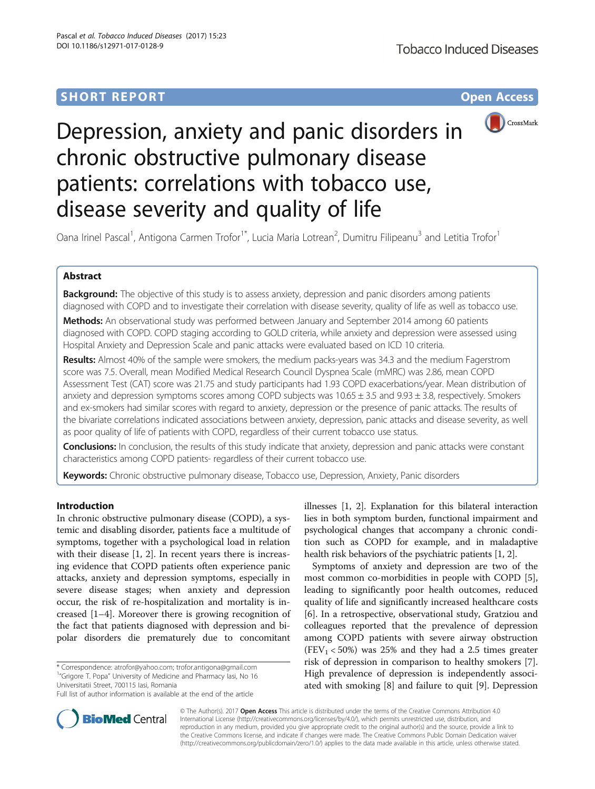### **SHORT REPORT SHORT CONSUMING THE CONSUMING THE CONSUMING THE CONSUMING THE CONSUMING THE CONSUMING THE CONSUMING THE CONSUMING THE CONSUMING THE CONSUMING THE CONSUMING THE CONSUMING THE CONSUMING THE CONSUMING THE CONS**



# Depression, anxiety and panic disorders in chronic obstructive pulmonary disease patients: correlations with tobacco use, disease severity and quality of life

Oana Irinel Pascal<sup>1</sup>, Antigona Carmen Trofor<sup>1\*</sup>, Lucia Maria Lotrean<sup>2</sup>, Dumitru Filipeanu<sup>3</sup> and Letitia Trofor<sup>1</sup>

### Abstract

Background: The objective of this study is to assess anxiety, depression and panic disorders among patients diagnosed with COPD and to investigate their correlation with disease severity, quality of life as well as tobacco use.

Methods: An observational study was performed between January and September 2014 among 60 patients diagnosed with COPD. COPD staging according to GOLD criteria, while anxiety and depression were assessed using Hospital Anxiety and Depression Scale and panic attacks were evaluated based on ICD 10 criteria.

**Results:** Almost 40% of the sample were smokers, the medium packs-years was 34.3 and the medium Fagerstrom score was 7.5. Overall, mean Modified Medical Research Council Dyspnea Scale (mMRC) was 2.86, mean COPD Assessment Test (CAT) score was 21.75 and study participants had 1.93 COPD exacerbations/year. Mean distribution of anxiety and depression symptoms scores among COPD subjects was  $10.65 \pm 3.5$  and  $9.93 \pm 3.8$ , respectively. Smokers and ex-smokers had similar scores with regard to anxiety, depression or the presence of panic attacks. The results of the bivariate correlations indicated associations between anxiety, depression, panic attacks and disease severity, as well as poor quality of life of patients with COPD, regardless of their current tobacco use status.

Conclusions: In conclusion, the results of this study indicate that anxiety, depression and panic attacks were constant characteristics among COPD patients- regardless of their current tobacco use.

Keywords: Chronic obstructive pulmonary disease, Tobacco use, Depression, Anxiety, Panic disorders

#### Introduction

In chronic obstructive pulmonary disease (COPD), a systemic and disabling disorder, patients face a multitude of symptoms, together with a psychological load in relation with their disease [\[1](#page-3-0), [2\]](#page-3-0). In recent years there is increasing evidence that COPD patients often experience panic attacks, anxiety and depression symptoms, especially in severe disease stages; when anxiety and depression occur, the risk of re-hospitalization and mortality is increased [[1](#page-3-0)–[4](#page-3-0)]. Moreover there is growing recognition of the fact that patients diagnosed with depression and bipolar disorders die prematurely due to concomitant

\* Correspondence: [atrofor@yahoo.com](mailto:atrofor@yahoo.com); [trofor.antigona@gmail.com](mailto:trofor.antigona@gmail.com) <sup>1</sup> <sup>1</sup>"Grigore T. Popa" University of Medicine and Pharmacy Iasi, No 16 Universitatii Street, 700115 Iasi, Romania

illnesses [[1, 2](#page-3-0)]. Explanation for this bilateral interaction lies in both symptom burden, functional impairment and psychological changes that accompany a chronic condition such as COPD for example, and in maladaptive health risk behaviors of the psychiatric patients [\[1](#page-3-0), [2\]](#page-3-0).

Symptoms of anxiety and depression are two of the most common co-morbidities in people with COPD [\[5](#page-3-0)], leading to significantly poor health outcomes, reduced quality of life and significantly increased healthcare costs [[6\]](#page-3-0). In a retrospective, observational study, Gratziou and colleagues reported that the prevalence of depression among COPD patients with severe airway obstruction  $(FEV<sub>1</sub> < 50%)$  was 25% and they had a 2.5 times greater risk of depression in comparison to healthy smokers [\[7](#page-3-0)]. High prevalence of depression is independently associated with smoking [\[8](#page-3-0)] and failure to quit [[9\]](#page-3-0). Depression



© The Author(s). 2017 **Open Access** This article is distributed under the terms of the Creative Commons Attribution 4.0 International License [\(http://creativecommons.org/licenses/by/4.0/](http://creativecommons.org/licenses/by/4.0/)), which permits unrestricted use, distribution, and reproduction in any medium, provided you give appropriate credit to the original author(s) and the source, provide a link to the Creative Commons license, and indicate if changes were made. The Creative Commons Public Domain Dedication waiver [\(http://creativecommons.org/publicdomain/zero/1.0/](http://creativecommons.org/publicdomain/zero/1.0/)) applies to the data made available in this article, unless otherwise stated.

Full list of author information is available at the end of the article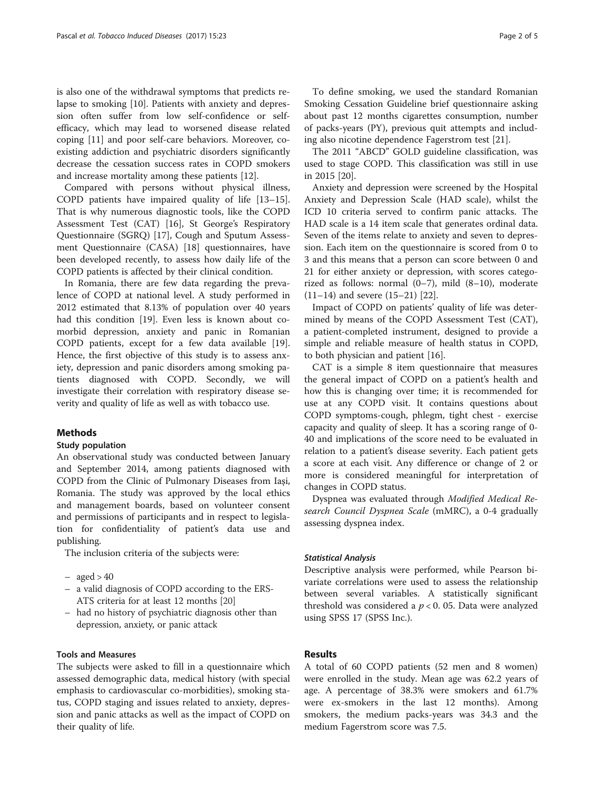is also one of the withdrawal symptoms that predicts relapse to smoking [\[10](#page-3-0)]. Patients with anxiety and depression often suffer from low self-confidence or selfefficacy, which may lead to worsened disease related coping [\[11\]](#page-3-0) and poor self-care behaviors. Moreover, coexisting addiction and psychiatric disorders significantly decrease the cessation success rates in COPD smokers and increase mortality among these patients [[12\]](#page-3-0).

Compared with persons without physical illness, COPD patients have impaired quality of life [[13](#page-3-0)–[15](#page-3-0)]. That is why numerous diagnostic tools, like the COPD Assessment Test (CAT) [[16\]](#page-3-0), St George's Respiratory Questionnaire (SGRQ) [[17\]](#page-3-0), Cough and Sputum Assessment Questionnaire (CASA) [[18\]](#page-3-0) questionnaires, have been developed recently, to assess how daily life of the COPD patients is affected by their clinical condition.

In Romania, there are few data regarding the prevalence of COPD at national level. A study performed in 2012 estimated that 8.13% of population over 40 years had this condition [[19\]](#page-3-0). Even less is known about comorbid depression, anxiety and panic in Romanian COPD patients, except for a few data available [\[19](#page-3-0)]. Hence, the first objective of this study is to assess anxiety, depression and panic disorders among smoking patients diagnosed with COPD. Secondly, we will investigate their correlation with respiratory disease severity and quality of life as well as with tobacco use.

#### Methods

#### Study population

An observational study was conducted between January and September 2014, among patients diagnosed with COPD from the Clinic of Pulmonary Diseases from Iaşi, Romania. The study was approved by the local ethics and management boards, based on volunteer consent and permissions of participants and in respect to legislation for confidentiality of patient's data use and publishing.

The inclusion criteria of the subjects were:

- $-$  aged  $> 40$
- a valid diagnosis of COPD according to the ERS-ATS criteria for at least 12 months [\[20](#page-3-0)]
- had no history of psychiatric diagnosis other than depression, anxiety, or panic attack

#### Tools and Measures

The subjects were asked to fill in a questionnaire which assessed demographic data, medical history (with special emphasis to cardiovascular co-morbidities), smoking status, COPD staging and issues related to anxiety, depression and panic attacks as well as the impact of COPD on their quality of life.

To define smoking, we used the standard Romanian Smoking Cessation Guideline brief questionnaire asking about past 12 months cigarettes consumption, number of packs-years (PY), previous quit attempts and including also nicotine dependence Fagerstrom test [\[21\]](#page-4-0).

The 2011 "ABCD" GOLD guideline classification, was used to stage COPD. This classification was still in use in 2015 [\[20](#page-3-0)].

Anxiety and depression were screened by the Hospital Anxiety and Depression Scale (HAD scale), whilst the ICD 10 criteria served to confirm panic attacks. The HAD scale is a 14 item scale that generates ordinal data. Seven of the items relate to anxiety and seven to depression. Each item on the questionnaire is scored from 0 to 3 and this means that a person can score between 0 and 21 for either anxiety or depression, with scores categorized as follows: normal (0–7), mild (8–10), moderate (11–14) and severe (15–21) [[22\]](#page-4-0).

Impact of COPD on patients' quality of life was determined by means of the COPD Assessment Test (CAT), a patient-completed instrument, designed to provide a simple and reliable measure of health status in COPD, to both physician and patient [[16\]](#page-3-0).

CAT is a simple 8 item questionnaire that measures the general impact of COPD on a patient's health and how this is changing over time; it is recommended for use at any COPD visit. It contains questions about COPD symptoms-cough, phlegm, tight chest - exercise capacity and quality of sleep. It has a scoring range of 0- 40 and implications of the score need to be evaluated in relation to a patient's disease severity. Each patient gets a score at each visit. Any difference or change of 2 or more is considered meaningful for interpretation of changes in COPD status.

Dyspnea was evaluated through Modified Medical Research Council Dyspnea Scale (mMRC), a 0-4 gradually assessing dyspnea index.

#### Statistical Analysis

Descriptive analysis were performed, while Pearson bivariate correlations were used to assess the relationship between several variables. A statistically significant threshold was considered a  $p < 0$ . 05. Data were analyzed using SPSS 17 (SPSS Inc.).

#### Results

A total of 60 COPD patients (52 men and 8 women) were enrolled in the study. Mean age was 62.2 years of age. A percentage of 38.3% were smokers and 61.7% were ex-smokers in the last 12 months). Among smokers, the medium packs-years was 34.3 and the medium Fagerstrom score was 7.5.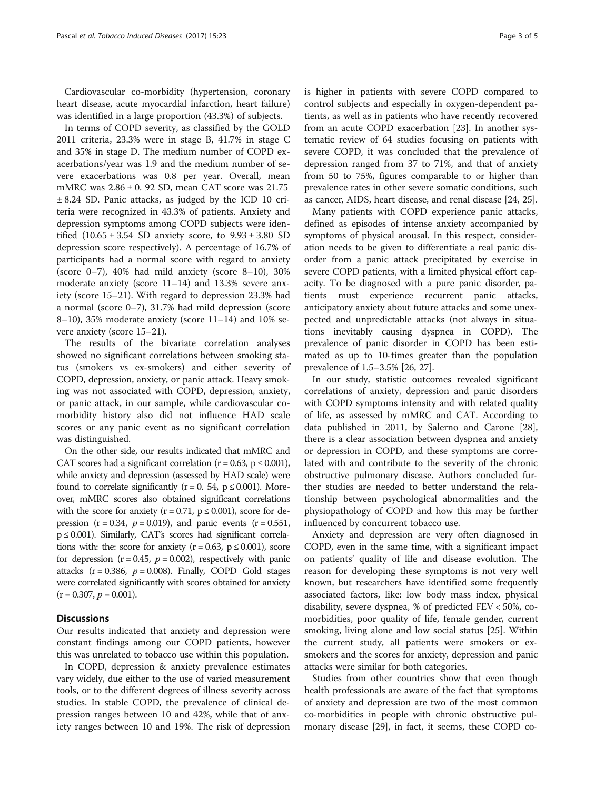Cardiovascular co-morbidity (hypertension, coronary heart disease, acute myocardial infarction, heart failure) was identified in a large proportion (43.3%) of subjects.

In terms of COPD severity, as classified by the GOLD 2011 criteria, 23.3% were in stage B, 41.7% in stage C and 35% in stage D. The medium number of COPD exacerbations/year was 1.9 and the medium number of severe exacerbations was 0.8 per year. Overall, mean mMRC was 2.86 ± 0. 92 SD, mean CAT score was 21.75 ± 8.24 SD. Panic attacks, as judged by the ICD 10 criteria were recognized in 43.3% of patients. Anxiety and depression symptoms among COPD subjects were identified  $(10.65 \pm 3.54 \, \text{SD}$  anxiety score, to  $9.93 \pm 3.80 \, \text{SD}$ depression score respectively). A percentage of 16.7% of participants had a normal score with regard to anxiety (score 0–7), 40% had mild anxiety (score 8–10), 30% moderate anxiety (score 11–14) and 13.3% severe anxiety (score 15–21). With regard to depression 23.3% had a normal (score 0–7), 31.7% had mild depression (score 8–10), 35% moderate anxiety (score 11–14) and 10% severe anxiety (score 15–21).

The results of the bivariate correlation analyses showed no significant correlations between smoking status (smokers vs ex-smokers) and either severity of COPD, depression, anxiety, or panic attack. Heavy smoking was not associated with COPD, depression, anxiety, or panic attack, in our sample, while cardiovascular comorbidity history also did not influence HAD scale scores or any panic event as no significant correlation was distinguished.

On the other side, our results indicated that mMRC and CAT scores had a significant correlation ( $r = 0.63$ ,  $p \le 0.001$ ), while anxiety and depression (assessed by HAD scale) were found to correlate significantly ( $r = 0$ . 54,  $p \le 0.001$ ). Moreover, mMRC scores also obtained significant correlations with the score for anxiety ( $r = 0.71$ ,  $p \le 0.001$ ), score for depression ( $r = 0.34$ ,  $p = 0.019$ ), and panic events ( $r = 0.551$ ,  $p \le 0.001$ ). Similarly, CAT's scores had significant correlations with: the: score for anxiety ( $r = 0.63$ ,  $p \le 0.001$ ), score for depression  $(r = 0.45, p = 0.002)$ , respectively with panic attacks  $(r = 0.386, p = 0.008)$ . Finally, COPD Gold stages were correlated significantly with scores obtained for anxiety  $(r = 0.307, p = 0.001).$ 

#### **Discussions**

Our results indicated that anxiety and depression were constant findings among our COPD patients, however this was unrelated to tobacco use within this population.

In COPD, depression & anxiety prevalence estimates vary widely, due either to the use of varied measurement tools, or to the different degrees of illness severity across studies. In stable COPD, the prevalence of clinical depression ranges between 10 and 42%, while that of anxiety ranges between 10 and 19%. The risk of depression is higher in patients with severe COPD compared to control subjects and especially in oxygen-dependent patients, as well as in patients who have recently recovered from an acute COPD exacerbation [[23](#page-4-0)]. In another systematic review of 64 studies focusing on patients with severe COPD, it was concluded that the prevalence of depression ranged from 37 to 71%, and that of anxiety from 50 to 75%, figures comparable to or higher than prevalence rates in other severe somatic conditions, such as cancer, AIDS, heart disease, and renal disease [\[24](#page-4-0), [25](#page-4-0)].

Many patients with COPD experience panic attacks, defined as episodes of intense anxiety accompanied by symptoms of physical arousal. In this respect, consideration needs to be given to differentiate a real panic disorder from a panic attack precipitated by exercise in severe COPD patients, with a limited physical effort capacity. To be diagnosed with a pure panic disorder, patients must experience recurrent panic attacks, anticipatory anxiety about future attacks and some unexpected and unpredictable attacks (not always in situations inevitably causing dyspnea in COPD). The prevalence of panic disorder in COPD has been estimated as up to 10-times greater than the population prevalence of 1.5–3.5% [[26, 27\]](#page-4-0).

In our study, statistic outcomes revealed significant correlations of anxiety, depression and panic disorders with COPD symptoms intensity and with related quality of life, as assessed by mMRC and CAT. According to data published in 2011, by Salerno and Carone [\[28](#page-4-0)], there is a clear association between dyspnea and anxiety or depression in COPD, and these symptoms are correlated with and contribute to the severity of the chronic obstructive pulmonary disease. Authors concluded further studies are needed to better understand the relationship between psychological abnormalities and the physiopathology of COPD and how this may be further influenced by concurrent tobacco use.

Anxiety and depression are very often diagnosed in COPD, even in the same time, with a significant impact on patients' quality of life and disease evolution. The reason for developing these symptoms is not very well known, but researchers have identified some frequently associated factors, like: low body mass index, physical disability, severe dyspnea, % of predicted FEV < 50%, comorbidities, poor quality of life, female gender, current smoking, living alone and low social status [[25\]](#page-4-0). Within the current study, all patients were smokers or exsmokers and the scores for anxiety, depression and panic attacks were similar for both categories.

Studies from other countries show that even though health professionals are aware of the fact that symptoms of anxiety and depression are two of the most common co-morbidities in people with chronic obstructive pulmonary disease [[29\]](#page-4-0), in fact, it seems, these COPD co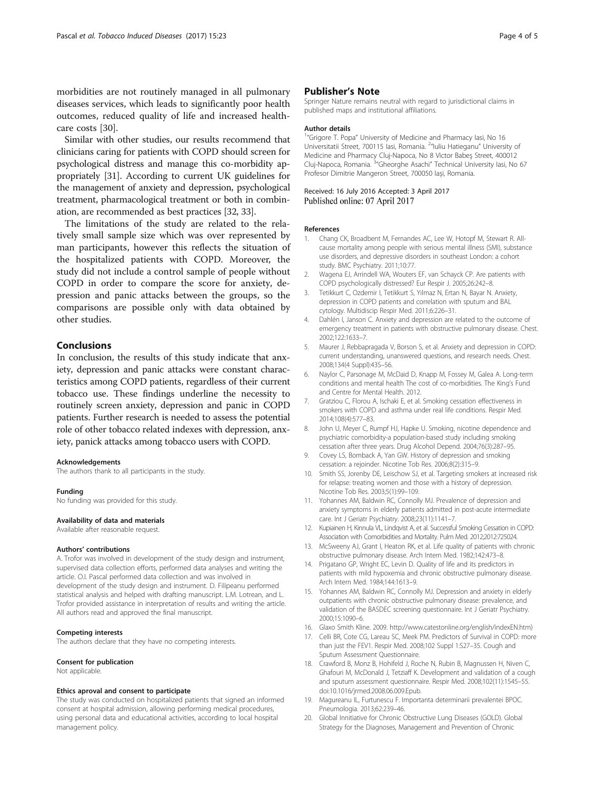<span id="page-3-0"></span>morbidities are not routinely managed in all pulmonary diseases services, which leads to significantly poor health outcomes, reduced quality of life and increased healthcare costs [\[30\]](#page-4-0).

Similar with other studies, our results recommend that clinicians caring for patients with COPD should screen for psychological distress and manage this co-morbidity appropriately [\[31\]](#page-4-0). According to current UK guidelines for the management of anxiety and depression, psychological treatment, pharmacological treatment or both in combination, are recommended as best practices [\[32, 33](#page-4-0)].

The limitations of the study are related to the relatively small sample size which was over represented by man participants, however this reflects the situation of the hospitalized patients with COPD. Moreover, the study did not include a control sample of people without COPD in order to compare the score for anxiety, depression and panic attacks between the groups, so the comparisons are possible only with data obtained by other studies.

#### Conclusions

In conclusion, the results of this study indicate that anxiety, depression and panic attacks were constant characteristics among COPD patients, regardless of their current tobacco use. These findings underline the necessity to routinely screen anxiety, depression and panic in COPD patients. Further research is needed to assess the potential role of other tobacco related indexes with depression, anxiety, panick attacks among tobacco users with COPD.

#### Acknowledgements

The authors thank to all participants in the study.

#### Funding

No funding was provided for this study.

#### Availability of data and materials

Available after reasonable request.

#### Authors' contributions

A. Trofor was involved in development of the study design and instrument, supervised data collection efforts, performed data analyses and writing the article. O.I. Pascal performed data collection and was involved in development of the study design and instrument. D. Filipeanu performed statistical analysis and helped with drafting manuscript. L.M. Lotrean, and L. Trofor provided assistance in interpretation of results and writing the article. All authors read and approved the final manuscript.

#### Competing interests

The authors declare that they have no competing interests.

#### Consent for publication

Not applicable.

#### Ethics aproval and consent to participate

The study was conducted on hospitalized patients that signed an informed consent at hospital admission, allowing performing medical procedures, using personal data and educational activities, according to local hospital management policy.

#### Publisher's Note

Springer Nature remains neutral with regard to jurisdictional claims in published maps and institutional affiliations.

#### Author details

<sup>1</sup>"Grigore T. Popa" University of Medicine and Pharmacy lasi, No 16 Universitatii Street, 700115 lasi, Romania. <sup>2</sup>"Iuliu Hatieganu" University of Medicine and Pharmacy Cluj-Napoca, No 8 Victor Babeş Street, 400012<br>Cluj-Napoca, Romania. <sup>3</sup>"Gheorghe Asachi" Technical University Iasi, No 67 Profesor Dimitrie Mangeron Street, 700050 Iași, Romania.

## Received: 16 July 2016 Accepted: 3 April 2017<br>Published online: 07 April 2017

#### References

- 1. Chang CK, Broadbent M, Fernandes AC, Lee W, Hotopf M, Stewart R. Allcause mortality among people with serious mental illness (SMI), substance use disorders, and depressive disorders in southeast London: a cohort study. BMC Psychiatry. 2011;10:77.
- 2. Wagena EJ, Arrindell WA, Wouters EF, van Schayck CP. Are patients with COPD psychologically distressed? Eur Respir J. 2005;26:242–8.
- 3. Tetikkurt C, Ozdemir I, Tetikkurt S, Yılmaz N, Ertan N, Bayar N. Anxiety, depression in COPD patients and correlation with sputum and BAL cytology. Multidiscip Respir Med. 2011;6:226–31.
- 4. Dahlén I, Janson C. Anxiety and depression are related to the outcome of emergency treatment in patients with obstructive pulmonary disease. Chest. 2002;122:1633–7.
- 5. Maurer J, Rebbapragada V, Borson S, et al. Anxiety and depression in COPD: current understanding, unanswered questions, and research needs. Chest. 2008;134(4 Suppl):43S–56.
- 6. Naylor C, Parsonage M, McDaid D, Knapp M, Fossey M, Galea A. Long-term conditions and mental health The cost of co-morbidities. The King's Fund and Centre for Mental Health. 2012.
- 7. Gratziou C, Florou A, Ischaki E, et al. Smoking cessation effectiveness in smokers with COPD and asthma under real life conditions. Respir Med. 2014;108(4):577–83.
- 8. John U, Meyer C, Rumpf HJ, Hapke U. Smoking, nicotine dependence and psychiatric comorbidity-a population-based study including smoking cessation after three years. Drug Alcohol Depend. 2004;76(3):287–95.
- 9. Covey LS, Bomback A, Yan GW. History of depression and smoking cessation: a rejoinder. Nicotine Tob Res. 2006;8(2):315–9.
- 10. Smith SS, Jorenby DE, Leischow SJ, et al. Targeting smokers at increased risk for relapse: treating women and those with a history of depression. Nicotine Tob Res. 2003;5(1):99–109.
- 11. Yohannes AM, Baldwin RC, Connolly MJ. Prevalence of depression and anxiety symptoms in elderly patients admitted in post-acute intermediate care. Int J Geriatr Psychiatry. 2008;23(11):1141–7.
- 12. Kupiainen H, Kinnula VL, Lindqvist A, et al. Successful Smoking Cessation in COPD: Association with Comorbidities and Mortality. Pulm Med. 2012;2012:725024.
- 13. McSweeny AJ, Grant I, Heaton RK, et al. Life quality of patients with chronic obstructive pulmonary disease. Arch Intern Med. 1982;142:473–8.
- 14. Prigatano GP, Wright EC, Levin D. Quality of life and its predictors in patients with mild hypoxemia and chronic obstructive pulmonary disease. Arch Intern Med. 1984;144:1613–9.
- 15. Yohannes AM, Baldwin RC, Connolly MJ. Depression and anxiety in elderly outpatients with chronic obstructive pulmonary disease: prevalence, and validation of the BASDEC screening questionnaire. Int J Geriatr Psychiatry. 2000;15:1090–6.
- 16. Glaxo Smith Kline. 2009. [http://www.catestonline.org/english/indexEN.htm\)](http://www.catestonline.org/english/indexEN.htm)
- 17. Celli BR, Cote CG, Lareau SC, Meek PM. Predictors of Survival in COPD: more than just the FEV1. Respir Med. 2008;102 Suppl 1:S27–35. Cough and Sputum Assessment Questionnaire.
- 18. Crawford B, Monz B, Hohifeld J, Roche N, Rubin B, Magnussen H, Niven C, Ghafouri M, McDonald J, Tetziaff K. Development and validation of a cough and sputum assessment questionnaire. Respir Med. 2008;102(11):1545–55. doi[:10.1016/jrmed.2008.06.009.Epub.](http://dx.doi.org/10.1016/jrmed.2008.06.009.Epub)
- 19. Magureanu IL, Furtunescu F. Importanta determinarii prevalentei BPOC. Pneumologia. 2013;62:239–46.
- 20. Global Innitiative for Chronic Obstructive Lung Diseases (GOLD). Global Strategy for the Diagnoses, Management and Prevention of Chronic